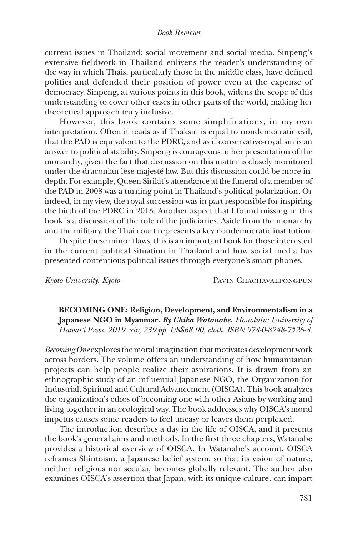## *Book Reviews*

current issues in Thailand: social movement and social media. Sinpeng's extensive fieldwork in Thailand enlivens the reader's understanding of the way in which Thais, particularly those in the middle class, have defined politics and defended their position of power even at the expense of democracy. Sinpeng, at various points in this book, widens the scope of this understanding to cover other cases in other parts of the world, making her theoretical approach truly inclusive.

However, this book contains some simplifications, in my own interpretation. Often it reads as if Thaksin is equal to nondemocratic evil, that the PAD is equivalent to the PDRC, and as if conservative-royalism is an answer to political stability. Sinpeng is courageous in her presentation of the monarchy, given the fact that discussion on this matter is closely monitored under the draconian lèse-majesté law. But this discussion could be more indepth. For example, Queen Sirikit's attendance at the funeral of a member of the PAD in 2008 was a turning point in Thailand's political polarization. Or indeed, in my view, the royal succession was in part responsible for inspiring the birth of the PDRC in 2013. Another aspect that I found missing in this book is a discussion of the role of the judiciaries. Aside from the monarchy and the military, the Thai court represents a key nondemocratic institution.

Despite these minor flaws, this is an important book for those interested in the current political situation in Thailand and how social media has presented contentious political issues through everyone's smart phones.

*Kyoto University, Kyoto* Pavin Chachavalpongpun

**BECOMING ONE: Religion, Development, and Environmentalism in a Japanese NGO in Myanmar***. By Chika Watanabe. Honolulu: University of Hawai'i Press, 2019. xiv, 239 pp. US\$68.00, cloth. ISBN 978-0-8248-7526-8.*

*Becoming One* explores the moral imagination that motivates development work across borders. The volume offers an understanding of how humanitarian projects can help people realize their aspirations. It is drawn from an ethnographic study of an influential Japanese NGO, the Organization for Industrial, Spiritual and Cultural Advancement (OISCA). This book analyzes the organization's ethos of becoming one with other Asians by working and living together in an ecological way. The book addresses why OISCA's moral impetus causes some readers to feel uneasy or leaves them perplexed.

The introduction describes a day in the life of OISCA, and it presents the book's general aims and methods. In the first three chapters, Watanabe provides a historical overview of OISCA. In Watanabe's account, OISCA reframes Shintoism, a Japanese belief system, so that its vision of nature, neither religious nor secular, becomes globally relevant. The author also examines OISCA's assertion that Japan, with its unique culture, can impart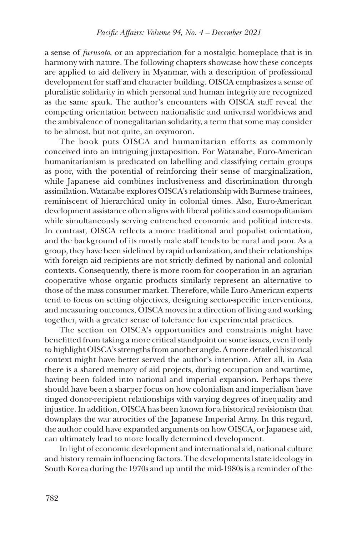a sense of *furusato*, or an appreciation for a nostalgic homeplace that is in harmony with nature. The following chapters showcase how these concepts are applied to aid delivery in Myanmar, with a description of professional development for staff and character building. OISCA emphasizes a sense of pluralistic solidarity in which personal and human integrity are recognized as the same spark. The author's encounters with OISCA staff reveal the competing orientation between nationalistic and universal worldviews and the ambivalence of nonegalitarian solidarity, a term that some may consider to be almost, but not quite, an oxymoron.

The book puts OISCA and humanitarian efforts as commonly conceived into an intriguing juxtaposition. For Watanabe, Euro-American humanitarianism is predicated on labelling and classifying certain groups as poor, with the potential of reinforcing their sense of marginalization, while Japanese aid combines inclusiveness and discrimination through assimilation. Watanabe explores OISCA's relationship with Burmese trainees, reminiscent of hierarchical unity in colonial times. Also, Euro-American development assistance often aligns with liberal politics and cosmopolitanism while simultaneously serving entrenched economic and political interests. In contrast, OISCA reflects a more traditional and populist orientation, and the background of its mostly male staff tends to be rural and poor. As a group, they have been sidelined by rapid urbanization, and their relationships with foreign aid recipients are not strictly defined by national and colonial contexts. Consequently, there is more room for cooperation in an agrarian cooperative whose organic products similarly represent an alternative to those of the mass consumer market. Therefore, while Euro-American experts tend to focus on setting objectives, designing sector-specific interventions, and measuring outcomes, OISCA moves in a direction of living and working together, with a greater sense of tolerance for experimental practices.

The section on OISCA's opportunities and constraints might have benefitted from taking a more critical standpoint on some issues, even if only to highlight OISCA's strengths from another angle. A more detailed historical context might have better served the author's intention. After all, in Asia there is a shared memory of aid projects, during occupation and wartime, having been folded into national and imperial expansion. Perhaps there should have been a sharper focus on how colonialism and imperialism have tinged donor-recipient relationships with varying degrees of inequality and injustice. In addition, OISCA has been known for a historical revisionism that downplays the war atrocities of the Japanese Imperial Army. In this regard, the author could have expanded arguments on how OISCA, or Japanese aid, can ultimately lead to more locally determined development.

In light of economic development and international aid, national culture and history remain influencing factors. The developmental state ideology in South Korea during the 1970s and up until the mid-1980s is a reminder of the